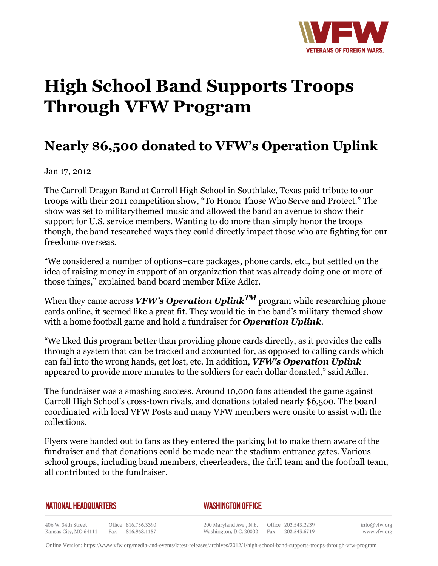

## **High School Band Supports Troops Through VFW Program**

## **Nearly \$6,500 donated to VFW's Operation Uplink**

Jan 17, 2012

The Carroll Dragon Band at Carroll High School in Southlake, Texas paid tribute to our troops with their 2011 competition show, "To Honor Those Who Serve and Protect." The show was set to militarythemed music and allowed the band an avenue to show their support for U.S. service members. Wanting to do more than simply honor the troops though, the band researched ways they could directly impact those who are fighting for our freedoms overseas.

"We considered a number of options–care packages, phone cards, etc., but settled on the idea of raising money in support of an organization that was already doing one or more of those things," explained band board member Mike Adler.

When they came across *VFW's Operation Uplink*<sup>*TM*</sup> program while researching phone cards online, it seemed like a great fit. They would tie-in the band's military-themed show with a home football game and hold a fundraiser for *Operation Uplink*.

"We liked this program better than providing phone cards directly, as it provides the calls through a system that can be tracked and accounted for, as opposed to calling cards which can fall into the wrong hands, get lost, etc. In addition, *VFW's Operation Uplink* appeared to provide more minutes to the soldiers for each dollar donated," said Adler.

The fundraiser was a smashing success. Around 10,000 fans attended the game against Carroll High School's cross-town rivals, and donations totaled nearly \$6,500. The board coordinated with local VFW Posts and many VFW members were onsite to assist with the collections.

Flyers were handed out to fans as they entered the parking lot to make them aware of the fundraiser and that donations could be made near the stadium entrance gates. Various school groups, including band members, cheerleaders, the drill team and the football team, all contributed to the fundraiser.

| <b>NATIONAL HEADQUARTERS</b> |
|------------------------------|
|------------------------------|

*WASHINGTON OFFICE* 

406 W. 34th Street Office 816.756.3390 Fax 816.968.1157 Kansas City, MO 64111

200 Maryland Ave., N.E. Washington, D.C. 20002

Office 202.543.2239 Fax 202.543.6719 info@vfw.org www.vfw.org

Online Version:<https://www.vfw.org/media-and-events/latest-releases/archives/2012/1/high-school-band-supports-troops-through-vfw-program>